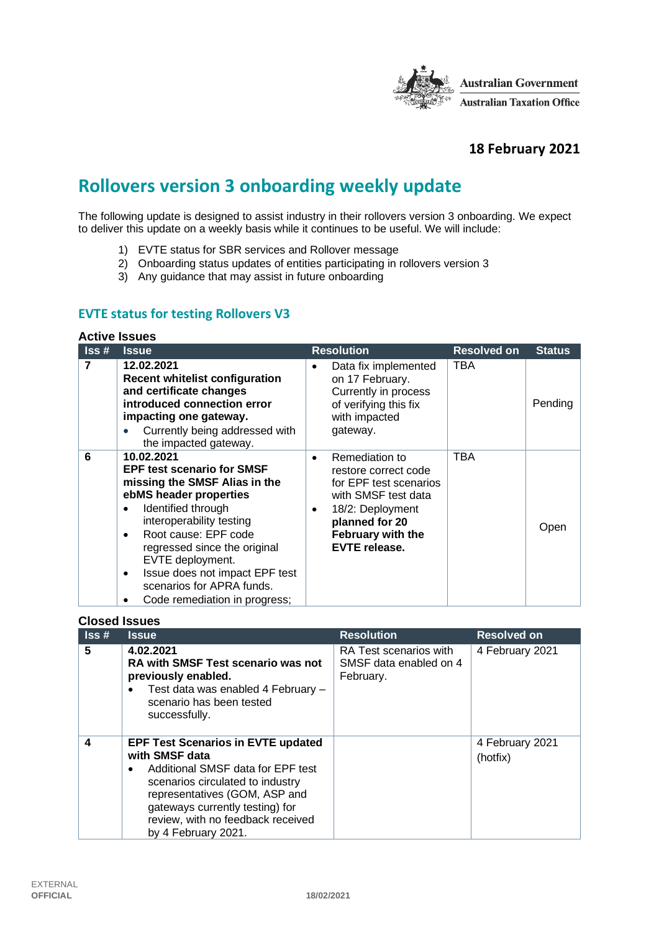

## **18 February 2021**

# **Rollovers version 3 onboarding weekly update**

The following update is designed to assist industry in their rollovers version 3 onboarding. We expect to deliver this update on a weekly basis while it continues to be useful. We will include:

- 1) EVTE status for SBR services and Rollover message
- 2) Onboarding status updates of entities participating in rollovers version 3
- 3) Any guidance that may assist in future onboarding

#### **EVTE status for testing Rollovers V3**

#### **Active Issues**

| Iss# | <b>Issue</b>                                                                                                                                                                                                                                                                                                                                                         | <b>Resolution</b>                                                                                                                                                                            | <b>Resolved on</b> | <b>Status</b> |
|------|----------------------------------------------------------------------------------------------------------------------------------------------------------------------------------------------------------------------------------------------------------------------------------------------------------------------------------------------------------------------|----------------------------------------------------------------------------------------------------------------------------------------------------------------------------------------------|--------------------|---------------|
| 7    | 12.02.2021<br><b>Recent whitelist configuration</b><br>and certificate changes<br>introduced connection error<br>impacting one gateway.<br>Currently being addressed with<br>the impacted gateway.                                                                                                                                                                   | Data fix implemented<br>on 17 February.<br>Currently in process<br>of verifying this fix<br>with impacted<br>gateway.                                                                        | TBA                | Pending       |
| 6    | 10.02.2021<br><b>EPF test scenario for SMSF</b><br>missing the SMSF Alias in the<br>ebMS header properties<br>Identified through<br>٠<br>interoperability testing<br>Root cause: EPF code<br>$\bullet$<br>regressed since the original<br>EVTE deployment.<br>Issue does not impact EPF test<br>٠<br>scenarios for APRA funds.<br>Code remediation in progress;<br>٠ | Remediation to<br>$\bullet$<br>restore correct code<br>for EPF test scenarios<br>with SMSF test data<br>18/2: Deployment<br>٠<br>planned for 20<br>February with the<br><b>EVTE release.</b> | <b>TBA</b>         | Open          |

#### **Closed Issues**

| $\textsf{lss}\,\textsf{\#}$ | <b>Issue</b>                                                                                                                                                                                                                                                                      | <b>Resolution</b>                                             | <b>Resolved on</b>          |
|-----------------------------|-----------------------------------------------------------------------------------------------------------------------------------------------------------------------------------------------------------------------------------------------------------------------------------|---------------------------------------------------------------|-----------------------------|
| 5                           | 4.02.2021<br><b>RA with SMSF Test scenario was not</b><br>previously enabled.<br>Test data was enabled 4 February -<br>scenario has been tested<br>successfully.                                                                                                                  | RA Test scenarios with<br>SMSF data enabled on 4<br>February. | 4 February 2021             |
| 4                           | <b>EPF Test Scenarios in EVTE updated</b><br>with SMSF data<br>Additional SMSF data for EPF test<br>$\bullet$<br>scenarios circulated to industry<br>representatives (GOM, ASP and<br>gateways currently testing) for<br>review, with no feedback received<br>by 4 February 2021. |                                                               | 4 February 2021<br>(hotfix) |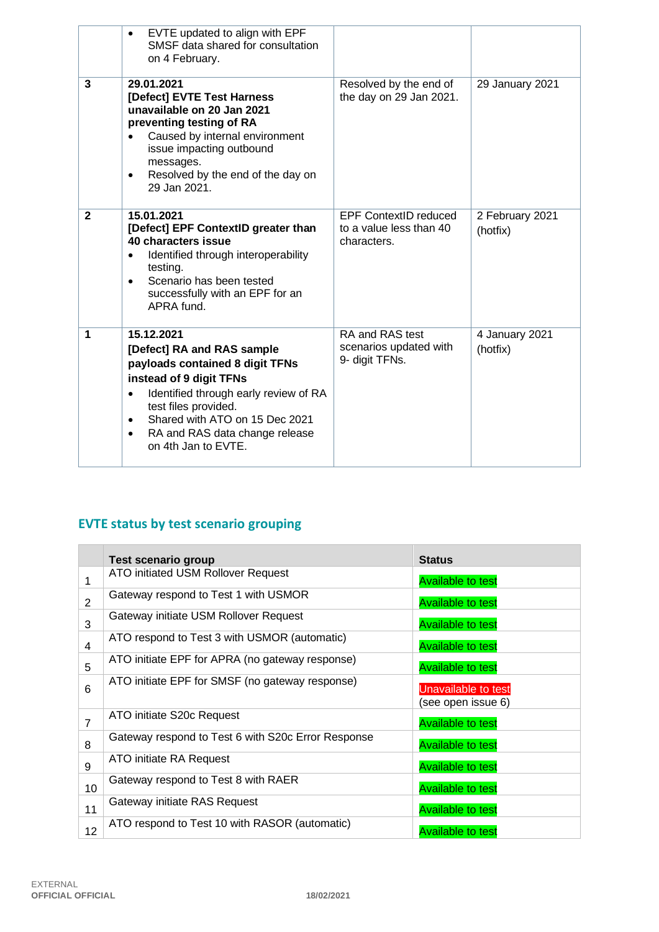|              | EVTE updated to align with EPF<br>SMSF data shared for consultation<br>on 4 February.                                                                                                                                                                                                                     |                                                                        |                             |
|--------------|-----------------------------------------------------------------------------------------------------------------------------------------------------------------------------------------------------------------------------------------------------------------------------------------------------------|------------------------------------------------------------------------|-----------------------------|
| 3            | 29.01.2021<br>[Defect] EVTE Test Harness<br>unavailable on 20 Jan 2021<br>preventing testing of RA<br>Caused by internal environment<br>issue impacting outbound<br>messages.<br>Resolved by the end of the day on<br>$\bullet$<br>29 Jan 2021.                                                           | Resolved by the end of<br>the day on 29 Jan 2021.                      | 29 January 2021             |
| $\mathbf{2}$ | 15.01.2021<br>[Defect] EPF ContextID greater than<br>40 characters issue<br>Identified through interoperability<br>$\bullet$<br>testing.<br>Scenario has been tested<br>$\bullet$<br>successfully with an EPF for an<br>APRA fund.                                                                        | <b>EPF ContextID reduced</b><br>to a value less than 40<br>characters. | 2 February 2021<br>(hotfix) |
| 1            | 15.12.2021<br>[Defect] RA and RAS sample<br>payloads contained 8 digit TFNs<br>instead of 9 digit TFNs<br>Identified through early review of RA<br>$\bullet$<br>test files provided.<br>Shared with ATO on 15 Dec 2021<br>$\bullet$<br>RA and RAS data change release<br>$\bullet$<br>on 4th Jan to EVTE. | RA and RAS test<br>scenarios updated with<br>9- digit TFNs.            | 4 January 2021<br>(hotfix)  |

## **EVTE status by test scenario grouping**

|                | Test scenario group                                | <b>Status</b>                                    |
|----------------|----------------------------------------------------|--------------------------------------------------|
| 1              | ATO initiated USM Rollover Request                 | <b>Available to test</b>                         |
| $\overline{2}$ | Gateway respond to Test 1 with USMOR               | <b>Available to test</b>                         |
| 3              | Gateway initiate USM Rollover Request              | <b>Available to test</b>                         |
| $\overline{4}$ | ATO respond to Test 3 with USMOR (automatic)       | <b>Available to test</b>                         |
| 5              | ATO initiate EPF for APRA (no gateway response)    | <b>Available to test</b>                         |
| 6              | ATO initiate EPF for SMSF (no gateway response)    | <b>Unavailable to test</b><br>(see open issue 6) |
| $\overline{7}$ | ATO initiate S20c Request                          | <b>Available to test</b>                         |
| 8              | Gateway respond to Test 6 with S20c Error Response | <b>Available to test</b>                         |
| 9              | ATO initiate RA Request                            | <b>Available to test</b>                         |
| 10             | Gateway respond to Test 8 with RAER                | <b>Available to test</b>                         |
| 11             | Gateway initiate RAS Request                       | <b>Available to test</b>                         |
| 12             | ATO respond to Test 10 with RASOR (automatic)      | <b>Available to test</b>                         |